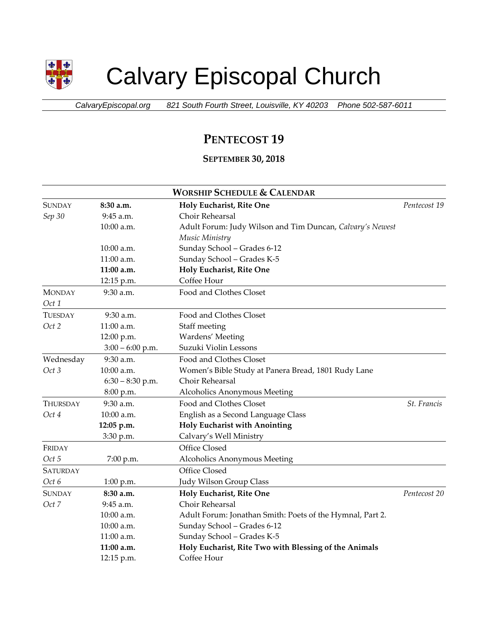

# Calvary Episcopal Church

*CalvaryEpiscopal.org 821 South Fourth Street, Louisville, KY 40203 Phone 502-587-6011*

# **PENTECOST 19**

## **SEPTEMBER 30, 2018**

| <b>WORSHIP SCHEDULE &amp; CALENDAR</b> |                    |                                                           |              |  |  |
|----------------------------------------|--------------------|-----------------------------------------------------------|--------------|--|--|
| <b>SUNDAY</b>                          | 8:30 a.m.          | Holy Eucharist, Rite One                                  | Pentecost 19 |  |  |
| Sep 30                                 | 9:45 a.m.          | Choir Rehearsal                                           |              |  |  |
|                                        | 10:00 a.m.         | Adult Forum: Judy Wilson and Tim Duncan, Calvary's Newest |              |  |  |
|                                        |                    | Music Ministry                                            |              |  |  |
|                                        | $10:00$ a.m.       | Sunday School - Grades 6-12                               |              |  |  |
|                                        | 11:00 a.m.         | Sunday School - Grades K-5                                |              |  |  |
|                                        | 11:00 a.m.         | Holy Eucharist, Rite One                                  |              |  |  |
|                                        | 12:15 p.m.         | Coffee Hour                                               |              |  |  |
| <b>MONDAY</b>                          | 9:30 a.m.          | Food and Clothes Closet                                   |              |  |  |
| Oct 1                                  |                    |                                                           |              |  |  |
| TUESDAY                                | 9:30 a.m.          | Food and Clothes Closet                                   |              |  |  |
| Oct 2                                  | 11:00 a.m.         | Staff meeting                                             |              |  |  |
|                                        | 12:00 p.m.         | Wardens' Meeting                                          |              |  |  |
|                                        | $3:00 - 6:00$ p.m. | Suzuki Violin Lessons                                     |              |  |  |
| Wednesday                              | 9:30 a.m.          | Food and Clothes Closet                                   |              |  |  |
| Oct 3                                  | 10:00 a.m.         | Women's Bible Study at Panera Bread, 1801 Rudy Lane       |              |  |  |
|                                        | $6:30 - 8:30$ p.m. | Choir Rehearsal                                           |              |  |  |
|                                        | 8:00 p.m.          | Alcoholics Anonymous Meeting                              |              |  |  |
| THURSDAY                               | 9:30 a.m.          | Food and Clothes Closet<br>St. Francis                    |              |  |  |
| Oct 4                                  | 10:00 a.m.         | English as a Second Language Class                        |              |  |  |
|                                        | 12:05 p.m.         | <b>Holy Eucharist with Anointing</b>                      |              |  |  |
|                                        | 3:30 p.m.          | Calvary's Well Ministry                                   |              |  |  |
| FRIDAY                                 |                    | Office Closed                                             |              |  |  |
| Oct 5                                  | 7:00 p.m.          | Alcoholics Anonymous Meeting                              |              |  |  |
| <b>SATURDAY</b>                        |                    | Office Closed                                             |              |  |  |
| Oct 6                                  | $1:00$ p.m.        | Judy Wilson Group Class                                   |              |  |  |
| <b>SUNDAY</b>                          | 8:30 a.m.          | Holy Eucharist, Rite One                                  | Pentecost 20 |  |  |
| Oct 7                                  | 9:45 a.m.          | Choir Rehearsal                                           |              |  |  |
|                                        | 10:00 a.m.         | Adult Forum: Jonathan Smith: Poets of the Hymnal, Part 2. |              |  |  |
|                                        | 10:00 a.m.         | Sunday School - Grades 6-12                               |              |  |  |
|                                        | 11:00 a.m.         | Sunday School - Grades K-5                                |              |  |  |
|                                        | 11:00 a.m.         | Holy Eucharist, Rite Two with Blessing of the Animals     |              |  |  |
|                                        | 12:15 p.m.         | Coffee Hour                                               |              |  |  |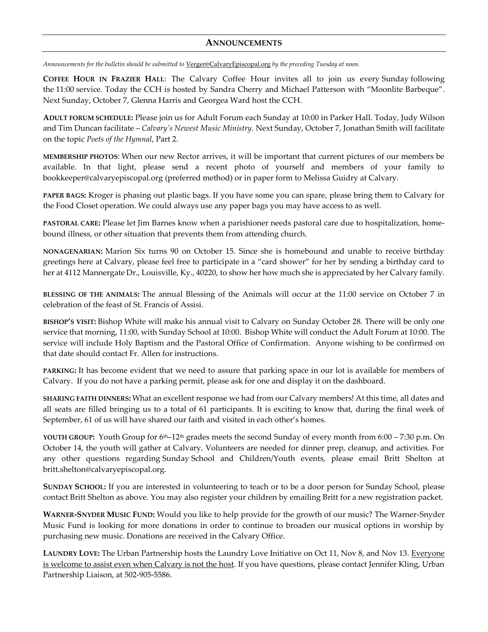#### **ANNOUNCEMENTS**

*Announcements for the bulletin should be submitted to* [Verger@CalvaryEpiscopal.org](mailto:Verger@CalvaryEpiscopal.org) *by the preceding Tuesday at noon.* 

**COFFEE HOUR IN FRAZIER HALL**: The Calvary Coffee Hour invites all to join us every Sunday following the 11:00 service. Today the CCH is hosted by Sandra Cherry and Michael Patterson with "Moonlite Barbeque". Next Sunday, October 7, Glenna Harris and Georgea Ward host the CCH.

**ADULT FORUM SCHEDULE:** Please join us for Adult Forum each Sunday at 10:00 in Parker Hall. Today, Judy Wilson and Tim Duncan facilitate – *Calvary's Newest Music Ministry.* Next Sunday, October 7, Jonathan Smith will facilitate on the topic *Poets of the Hymnal*, Part 2.

**MEMBERSHIP PHOTOS**: When our new Rector arrives, it will be important that current pictures of our members be available. In that light, please send a recent photo of yourself and members of your family to [bookkeeper@calvaryepiscopal.org](mailto:bookkeeper@calvaryepiscopal.org) (preferred method) or in paper form to Melissa Guidry at Calvary.

**PAPER BAGS:** Kroger is phasing out plastic bags. If you have some you can spare, please bring them to Calvary for the Food Closet operation. We could always use any paper bags you may have access to as well.

**PASTORAL CARE:** Please let Jim Barnes know when a parishioner needs pastoral care due to hospitalization, homebound illness, or other situation that prevents them from attending church.

**NONAGENARIAN:** Marion Six turns 90 on October 15. Since she is homebound and unable to receive birthday greetings here at Calvary, please feel free to participate in a "card shower" for her by sending a birthday card to her at 4112 Mannergate Dr., Louisville, Ky., 40220, to show her how much she is appreciated by her Calvary family.

**BLESSING OF THE ANIMALS:** The annual Blessing of the Animals will occur at the 11:00 service on October 7 in celebration of the feast of St. Francis of Assisi.

**BISHOP'S VISIT:** Bishop White will make his annual visit to Calvary on Sunday October 28. There will be only one service that morning, 11:00, with Sunday School at 10:00. Bishop White will conduct the Adult Forum at 10:00. The service will include Holy Baptism and the Pastoral Office of Confirmation. Anyone wishing to be confirmed on that date should contact Fr. Allen for instructions.

**PARKING:** It has become evident that we need to assure that parking space in our lot is available for members of Calvary. If you do not have a parking permit, please ask for one and display it on the dashboard.

**SHARING FAITH DINNERS:** What an excellent response we had from our Calvary members! At this time, all dates and all seats are filled bringing us to a total of 61 participants. It is exciting to know that, during the final week of September, 61 of us will have shared our faith and visited in each other's homes.

**YOUTH GROUP:** Youth Group for 6th–12th grades meets the second Sunday of every month from 6:00 – 7:30 p.m. On October 14, the youth will gather at Calvary. Volunteers are needed for dinner prep, cleanup, and activities. For any other questions regarding Sunday School and Children/Youth events, please email Britt Shelton at [britt.shelton@calvaryepiscopal.org.](mailto:britt.shelton@calvaryepiscopal.org)

**SUNDAY SCHOOL:** If you are interested in volunteering to teach or to be a door person for Sunday School, please contact Britt Shelton as above. You may also register your children by emailing Britt for a new registration packet.

**WARNER-SNYDER MUSIC FUND:** Would you like to help provide for the growth of our music? The Warner-Snyder Music Fund is looking for more donations in order to continue to broaden our musical options in worship by purchasing new music. Donations are received in the Calvary Office.

**LAUNDRY LOVE:** The Urban Partnership hosts the Laundry Love Initiative on Oct 11, Nov 8, and Nov 13. Everyone is welcome to assist even when Calvary is not the host. If you have questions, please contact Jennifer Kling, Urban Partnership Liaison, at 502-905-5586.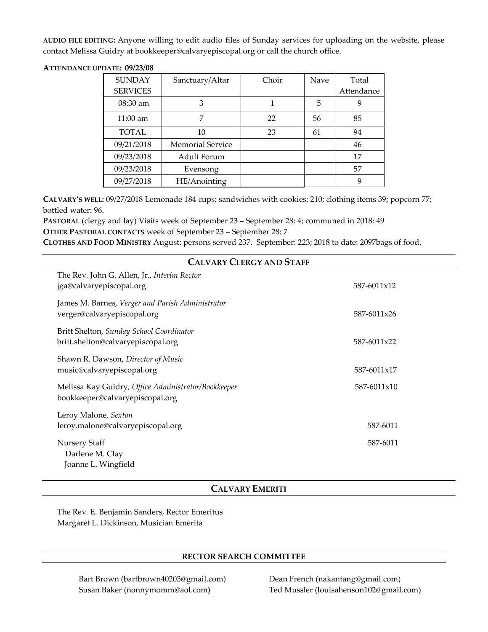**AUDIO FILE EDITING:** Anyone willing to edit audio files of Sunday services for uploading on the website, please contact Melissa Guidry at [bookkeeper@calvaryepiscopal.org](mailto:bookkeeper@calvaryepiscopal.org) or call the church office.

**ATTENDANCE UPDATE: 09/23/08** 

| <b>SUNDAY</b><br><b>SERVICES</b> | Sanctuary/Altar         | Choir | Nave | Total<br>Attendance |
|----------------------------------|-------------------------|-------|------|---------------------|
| $08:30$ am                       | 3                       |       | 5    | 9                   |
| $11:00$ am                       | 7                       | 22    | 56   | 85                  |
| TOTAL                            | 10                      | 23    | 61   | 94                  |
| 09/21/2018                       | <b>Memorial Service</b> |       |      | 46                  |
| 09/23/2018                       | Adult Forum             |       |      | 17                  |
| 09/23/2018                       | Evensong                |       |      | 57                  |
| 09/27/2018                       | HE/Anointing            |       |      | 9                   |

**CALVARY'S WELL:** 09/27/2018 Lemonade 184 cups; sandwiches with cookies: 210; clothing items 39; popcorn 77; bottled water: 96.

**PASTORAL** (clergy and lay) Visits week of September 23 – September 28: 4; communed in 2018: 49 **OTHER PASTORAL CONTACTS** week of September 23 – September 28: 7

**CLOTHES AND FOOD MINISTRY** August: persons served 237. September: 223; 2018 to date: 2097bags of food.

**CALVARY CLERGY AND STAFF**

| CALVARY CLERGY AND STAFF |                                                                                        |             |  |  |  |
|--------------------------|----------------------------------------------------------------------------------------|-------------|--|--|--|
|                          | The Rev. John G. Allen, Jr., Interim Rector<br>jga@calvaryepiscopal.org                | 587-6011x12 |  |  |  |
|                          | James M. Barnes, Verger and Parish Administrator<br>verger@calvaryepiscopal.org        | 587-6011x26 |  |  |  |
|                          | Britt Shelton, Sunday School Coordinator<br>britt.shelton@calvaryepiscopal.org         | 587-6011x22 |  |  |  |
|                          | Shawn R. Dawson, Director of Music<br>music@calvaryepiscopal.org                       | 587-6011x17 |  |  |  |
|                          | Melissa Kay Guidry, Office Administrator/Bookkeeper<br>bookkeeper@calvaryepiscopal.org | 587-6011x10 |  |  |  |
|                          | Leroy Malone, Sexton                                                                   |             |  |  |  |
|                          | leroy.malone@calvaryepiscopal.org                                                      | 587-6011    |  |  |  |
|                          | <b>Nursery Staff</b><br>Darlene M. Clay                                                | 587-6011    |  |  |  |
|                          | Joanne L. Wingfield                                                                    |             |  |  |  |

## **CALVARY EMERITI**

The Rev. E. Benjamin Sanders, Rector Emeritus Margaret L. Dickinson, Musician Emerita

#### **RECTOR SEARCH COMMITTEE**

Bart Brown (bartbrown40203@gmail.com) Dean French (nakantang@gmail.com)

Susan Baker (nonnymomm@aol.com) Ted Mussler (louisahenson102@gmail.com)